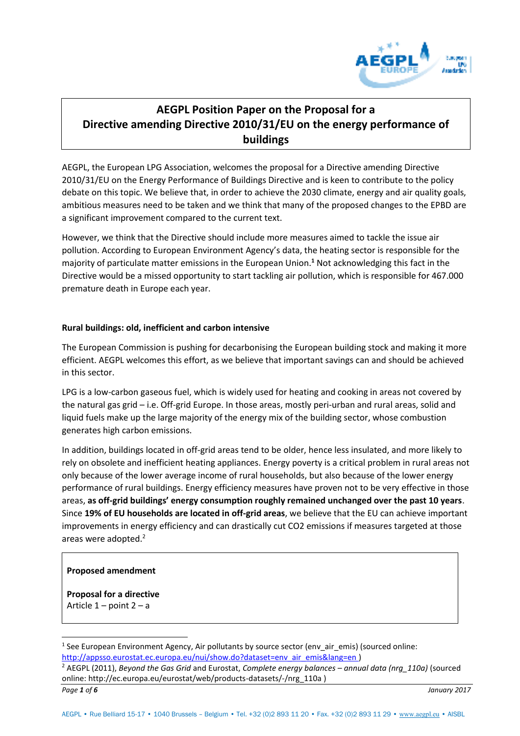

# **AEGPL Position Paper on the Proposal for a Directive amending Directive 2010/31/EU on the energy performance of buildings**

AEGPL, the European LPG Association, welcomes the proposal for a Directive amending Directive 2010/31/EU on the Energy Performance of Buildings Directive and is keen to contribute to the policy debate on this topic. We believe that, in order to achieve the 2030 climate, energy and air quality goals, ambitious measures need to be taken and we think that many of the proposed changes to the EPBD are a significant improvement compared to the current text.

However, we think that the Directive should include more measures aimed to tackle the issue air pollution. According to European Environment Agency's data, the heating sector is responsible for the majority of particulate matter emissions in the European Union.**<sup>1</sup>** Not acknowledging this fact in the Directive would be a missed opportunity to start tackling air pollution, which is responsible for 467.000 premature death in Europe each year.

# **Rural buildings: old, inefficient and carbon intensive**

The European Commission is pushing for decarbonising the European building stock and making it more efficient. AEGPL welcomes this effort, as we believe that important savings can and should be achieved in this sector.

LPG is a low-carbon gaseous fuel, which is widely used for heating and cooking in areas not covered by the natural gas grid – i.e. Off-grid Europe. In those areas, mostly peri-urban and rural areas, solid and liquid fuels make up the large majority of the energy mix of the building sector, whose combustion generates high carbon emissions.

In addition, buildings located in off-grid areas tend to be older, hence less insulated, and more likely to rely on obsolete and inefficient heating appliances. Energy poverty is a critical problem in rural areas not only because of the lower average income of rural households, but also because of the lower energy performance of rural buildings. Energy efficiency measures have proven not to be very effective in those areas, **as off-grid buildings' energy consumption roughly remained unchanged over the past 10 years**. Since **19% of EU households are located in off-grid areas**, we believe that the EU can achieve important improvements in energy efficiency and can drastically cut CO2 emissions if measures targeted at those areas were adopted.<sup>2</sup>

# **Proposed amendment**

**Proposal for a directive**  Article  $1$  – point  $2 - a$ 

 $\overline{a}$ <sup>1</sup> See European Environment Agency, Air pollutants by source sector (env\_air\_emis) (sourced online: [http://appsso.eurostat.ec.europa.eu/nui/show.do?dataset=env\\_air\\_emis&lang=en \)](http://appsso.eurostat.ec.europa.eu/nui/show.do?dataset=env_air_emis&lang=en)

*Page 1 of 6 January 2017* 2 AEGPL (2011), *Beyond the Gas Grid* and Eurostat, *Complete energy balances – annual data (nrg\_110a)* (sourced online: [http://ec.europa.eu/eurostat/web/products-datasets/-/nrg\\_110a \)](http://ec.europa.eu/eurostat/web/products-datasets/-/nrg_110a)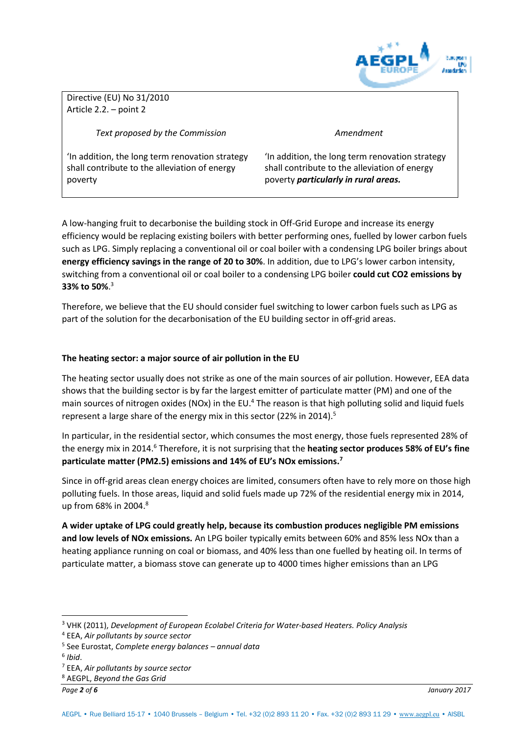

Directive (EU) No 31/2010 Article 2.2. – point 2

*Text proposed by the Commission* 

*Amendment* 

'In addition, the long term renovation strategy shall contribute to the alleviation of energy poverty

'In addition, the long term renovation strategy shall contribute to the alleviation of energy poverty *particularly in rural areas.* 

A low-hanging fruit to decarbonise the building stock in Off-Grid Europe and increase its energy efficiency would be replacing existing boilers with better performing ones, fuelled by lower carbon fuels such as LPG. Simply replacing a conventional oil or coal boiler with a condensing LPG boiler brings about **energy efficiency savings in the range of 20 to 30%**. In addition, due to LPG's lower carbon intensity, switching from a conventional oil or coal boiler to a condensing LPG boiler **could cut CO2 emissions by 33% to 50%**. 3

Therefore, we believe that the EU should consider fuel switching to lower carbon fuels such as LPG as part of the solution for the decarbonisation of the EU building sector in off-grid areas.

# **The heating sector: a major source of air pollution in the EU**

The heating sector usually does not strike as one of the main sources of air pollution. However, EEA data shows that the building sector is by far the largest emitter of particulate matter (PM) and one of the main sources of nitrogen oxides (NOx) in the EU.<sup>4</sup> The reason is that high polluting solid and liquid fuels represent a large share of the energy mix in this sector (22% in 2014).<sup>5</sup>

In particular, in the residential sector, which consumes the most energy, those fuels represented 28% of the energy mix in 2014.<sup>6</sup> Therefore, it is not surprising that the **heating sector produces 58% of EU's fine particulate matter (PM2.5) emissions and 14% of EU's NOx emissions.<sup>7</sup>**

Since in off-grid areas clean energy choices are limited, consumers often have to rely more on those high polluting fuels. In those areas, liquid and solid fuels made up 72% of the residential energy mix in 2014, up from 68% in 2004.<sup>8</sup>

**A wider uptake of LPG could greatly help, because its combustion produces negligible PM emissions and low levels of NOx emissions.** An LPG boiler typically emits between 60% and 85% less NOx than a heating appliance running on coal or biomass, and 40% less than one fuelled by heating oil. In terms of particulate matter, a biomass stove can generate up to 4000 times higher emissions than an LPG

 $\overline{a}$ 

*Page 2 of 6 January 2017*

<sup>3</sup> VHK (2011), *Development of European Ecolabel Criteria for Water-based Heaters. Policy Analysis*

<sup>4</sup> EEA, *Air pollutants by source sector*

<sup>5</sup> See Eurostat, *Complete energy balances – annual data*

<sup>6</sup> *Ibid*.

<sup>7</sup> EEA, *Air pollutants by source sector*

<sup>8</sup> AEGPL, *Beyond the Gas Grid*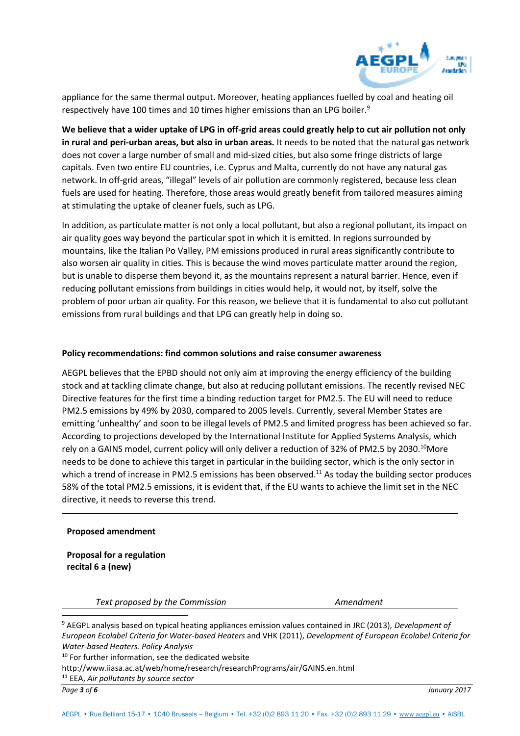

appliance for the same thermal output. Moreover, heating appliances fuelled by coal and heating oil respectively have 100 times and 10 times higher emissions than an LPG boiler.<sup>9</sup>

**We believe that a wider uptake of LPG in off-grid areas could greatly help to cut air pollution not only in rural and peri-urban areas, but also in urban areas.** It needs to be noted that the natural gas network does not cover a large number of small and mid-sized cities, but also some fringe districts of large capitals. Even two entire EU countries, i.e. Cyprus and Malta, currently do not have any natural gas network. In off-grid areas, "illegal" levels of air pollution are commonly registered, because less clean fuels are used for heating. Therefore, those areas would greatly benefit from tailored measures aiming at stimulating the uptake of cleaner fuels, such as LPG.

In addition, as particulate matter is not only a local pollutant, but also a regional pollutant, its impact on air quality goes way beyond the particular spot in which it is emitted. In regions surrounded by mountains, like the Italian Po Valley, PM emissions produced in rural areas significantly contribute to also worsen air quality in cities. This is because the wind moves particulate matter around the region, but is unable to disperse them beyond it, as the mountains represent a natural barrier. Hence, even if reducing pollutant emissions from buildings in cities would help, it would not, by itself, solve the problem of poor urban air quality. For this reason, we believe that it is fundamental to also cut pollutant emissions from rural buildings and that LPG can greatly help in doing so.

#### **Policy recommendations: find common solutions and raise consumer awareness**

AEGPL believes that the EPBD should not only aim at improving the energy efficiency of the building stock and at tackling climate change, but also at reducing pollutant emissions. The recently revised NEC Directive features for the first time a binding reduction target for PM2.5. The EU will need to reduce PM2.5 emissions by 49% by 2030, compared to 2005 levels. Currently, several Member States are emitting 'unhealthy' and soon to be illegal levels of PM2.5 and limited progress has been achieved so far. According to projections developed by the International Institute for Applied Systems Analysis, which rely on a GAINS model, current policy will only deliver a reduction of 32% of PM2.5 by 2030.<sup>10</sup>More needs to be done to achieve this target in particular in the building sector, which is the only sector in which a trend of increase in PM2.5 emissions has been observed.<sup>11</sup> As today the building sector produces 58% of the total PM2.5 emissions, it is evident that, if the EU wants to achieve the limit set in the NEC directive, it needs to reverse this trend.

#### **Proposed amendment**

**Proposal for a regulation recital 6 a (new)** 

*Text proposed by the Commission* **Amendment** *Amendment* 

 $\overline{a}$ 

<sup>9</sup> AEGPL analysis based on typical heating appliances emission values contained in JRC (2013), *Development of European Ecolabel Criteria for Water-based Heaters* and VHK (2011), *Development of European Ecolabel Criteria for Water-based Heaters. Policy Analysis*

<sup>&</sup>lt;sup>10</sup> For further information, see the dedicated website

http://www.iiasa.ac.at/web/home/research/researchPrograms/air/GAINS.en.html

<sup>11</sup> EEA, *Air pollutants by source sector*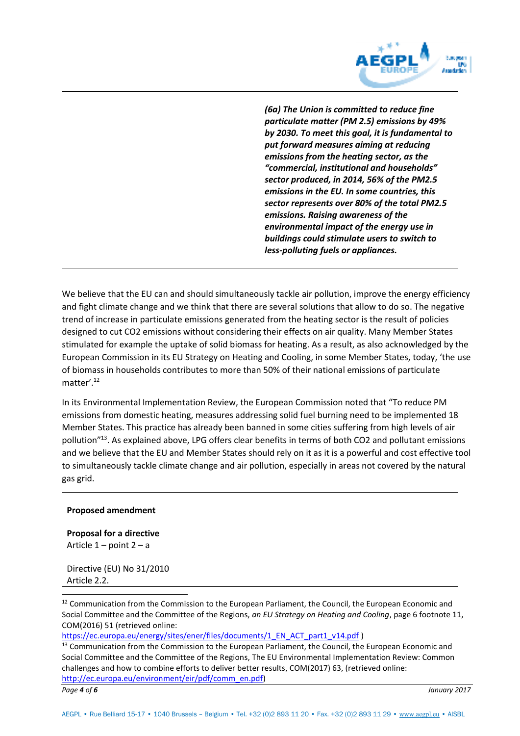

*(6a) The Union is committed to reduce fine particulate matter (PM 2.5) emissions by 49% by 2030. To meet this goal, it is fundamental to put forward measures aiming at reducing emissions from the heating sector, as the "commercial, institutional and households" sector produced, in 2014, 56% of the PM2.5 emissions in the EU. In some countries, this sector represents over 80% of the total PM2.5 emissions. Raising awareness of the environmental impact of the energy use in buildings could stimulate users to switch to less-polluting fuels or appliances.* 

We believe that the EU can and should simultaneously tackle air pollution, improve the energy efficiency and fight climate change and we think that there are several solutions that allow to do so. The negative trend of increase in particulate emissions generated from the heating sector is the result of policies designed to cut CO2 emissions without considering their effects on air quality. Many Member States stimulated for example the uptake of solid biomass for heating. As a result, as also acknowledged by the European Commission in its EU Strategy on Heating and Cooling, in some Member States, today, 'the use of biomass in households contributes to more than 50% of their national emissions of particulate matter'<sup>12</sup>

In its Environmental Implementation Review, the European Commission noted that "To reduce PM emissions from domestic heating, measures addressing solid fuel burning need to be implemented 18 Member States. This practice has already been banned in some cities suffering from high levels of air pollution"<sup>13</sup>. As explained above, LPG offers clear benefits in terms of both CO2 and pollutant emissions and we believe that the EU and Member States should rely on it as it is a powerful and cost effective tool to simultaneously tackle climate change and air pollution, especially in areas not covered by the natural gas grid.

#### **Proposed amendment**

**Proposal for a directive**  Article  $1$  – point  $2 - a$ 

Directive (EU) No 31/2010 Article 2.2.

<sup>12</sup> Communication from the Commission to the European Parliament, the Council, the European Economic and Social Committee and the Committee of the Regions, *an EU Strategy on Heating and Cooling*, page 6 footnote 11, COM(2016) 51 (retrieved online:

[https://ec.europa.eu/energy/sites/ener/files/documents/1\\_EN\\_ACT\\_part1\\_v14.pdf](https://ec.europa.eu/energy/sites/ener/files/documents/1_EN_ACT_part1_v14.pdf) )

<sup>13</sup> Communication from the Commission to the European Parliament, the Council, the European Economic and Social Committee and the Committee of the Regions, The EU Environmental Implementation Review: Common challenges and how to combine efforts to deliver better results, COM(2017) 63, (retrieved online: [http://ec.europa.eu/environment/eir/pdf/comm\\_en.pdf\)](http://ec.europa.eu/environment/eir/pdf/comm_en.pdf)

 $\overline{a}$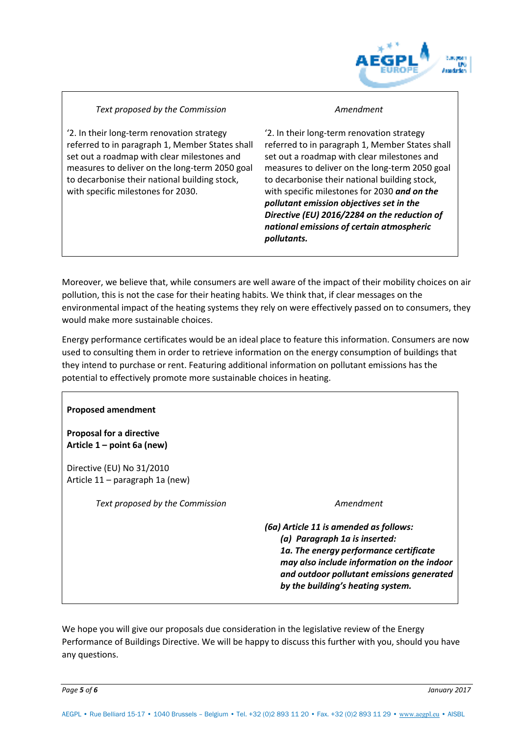

# *Text proposed by the Commission*

'2. In their long-term renovation strategy referred to in paragraph 1, Member States shall set out a roadmap with clear milestones and measures to deliver on the long-term 2050 goal to decarbonise their national building stock, with specific milestones for 2030.

#### *Amendment*

'2. In their long-term renovation strategy referred to in paragraph 1, Member States shall set out a roadmap with clear milestones and measures to deliver on the long-term 2050 goal to decarbonise their national building stock, with specific milestones for 2030 *and on the pollutant emission objectives set in the Directive (EU) 2016/2284 on the reduction of national emissions of certain atmospheric pollutants.*

Moreover, we believe that, while consumers are well aware of the impact of their mobility choices on air pollution, this is not the case for their heating habits. We think that, if clear messages on the environmental impact of the heating systems they rely on were effectively passed on to consumers, they would make more sustainable choices.

Energy performance certificates would be an ideal place to feature this information. Consumers are now used to consulting them in order to retrieve information on the energy consumption of buildings that they intend to purchase or rent. Featuring additional information on pollutant emissions has the potential to effectively promote more sustainable choices in heating.

#### **Proposed amendment**

**Proposal for a directive Article 1 – point 6a (new)** 

Directive (EU) No 31/2010 Article 11 – paragraph 1a (new)

Text proposed by the Commission **Amendment** 

*(6a) Article 11 is amended as follows: (a) Paragraph 1a is inserted: 1a. The energy performance certificate may also include information on the indoor and outdoor pollutant emissions generated by the building's heating system.*

We hope you will give our proposals due consideration in the legislative review of the Energy Performance of Buildings Directive. We will be happy to discuss this further with you, should you have any questions.

*Page 5 of 6 January 2017*